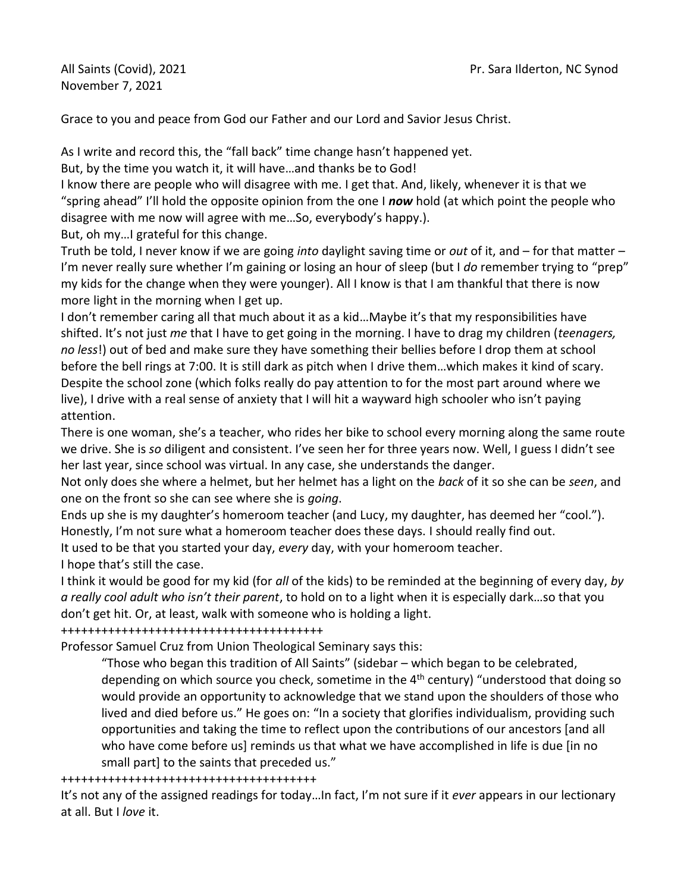November 7, 2021

Grace to you and peace from God our Father and our Lord and Savior Jesus Christ.

As I write and record this, the "fall back" time change hasn't happened yet.

But, by the time you watch it, it will have…and thanks be to God!

I know there are people who will disagree with me. I get that. And, likely, whenever it is that we "spring ahead" I'll hold the opposite opinion from the one I *now* hold (at which point the people who disagree with me now will agree with me…So, everybody's happy.).

But, oh my…I grateful for this change.

Truth be told, I never know if we are going *into* daylight saving time or *out* of it, and – for that matter – I'm never really sure whether I'm gaining or losing an hour of sleep (but I *do* remember trying to "prep" my kids for the change when they were younger). All I know is that I am thankful that there is now more light in the morning when I get up.

I don't remember caring all that much about it as a kid…Maybe it's that my responsibilities have shifted. It's not just *me* that I have to get going in the morning. I have to drag my children (*teenagers, no less*!) out of bed and make sure they have something their bellies before I drop them at school before the bell rings at 7:00. It is still dark as pitch when I drive them…which makes it kind of scary. Despite the school zone (which folks really do pay attention to for the most part around where we live), I drive with a real sense of anxiety that I will hit a wayward high schooler who isn't paying attention.

There is one woman, she's a teacher, who rides her bike to school every morning along the same route we drive. She is *so* diligent and consistent. I've seen her for three years now. Well, I guess I didn't see her last year, since school was virtual. In any case, she understands the danger.

Not only does she where a helmet, but her helmet has a light on the *back* of it so she can be *seen*, and one on the front so she can see where she is *going*.

Ends up she is my daughter's homeroom teacher (and Lucy, my daughter, has deemed her "cool."). Honestly, I'm not sure what a homeroom teacher does these days. I should really find out.

It used to be that you started your day, *every* day, with your homeroom teacher.

I hope that's still the case.

I think it would be good for my kid (for *all* of the kids) to be reminded at the beginning of every day, *by a really cool adult who isn't their parent*, to hold on to a light when it is especially dark…so that you don't get hit. Or, at least, walk with someone who is holding a light.

+++++++++++++++++++++++++++++++++++++++

Professor Samuel Cruz from Union Theological Seminary says this:

"Those who began this tradition of All Saints" (sidebar – which began to be celebrated, depending on which source you check, sometime in the 4<sup>th</sup> century) "understood that doing so would provide an opportunity to acknowledge that we stand upon the shoulders of those who lived and died before us." He goes on: "In a society that glorifies individualism, providing such opportunities and taking the time to reflect upon the contributions of our ancestors [and all who have come before us] reminds us that what we have accomplished in life is due [in no small part] to the saints that preceded us."

++++++++++++++++++++++++++++++++++++++

It's not any of the assigned readings for today…In fact, I'm not sure if it *ever* appears in our lectionary at all. But I *love* it.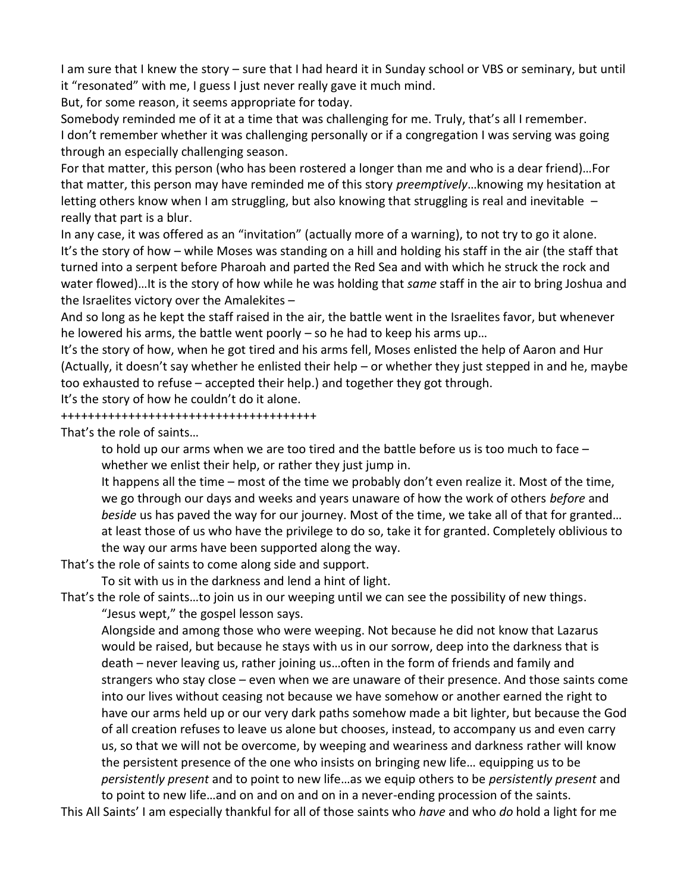I am sure that I knew the story – sure that I had heard it in Sunday school or VBS or seminary, but until it "resonated" with me, I guess I just never really gave it much mind.

But, for some reason, it seems appropriate for today.

Somebody reminded me of it at a time that was challenging for me. Truly, that's all I remember. I don't remember whether it was challenging personally or if a congregation I was serving was going through an especially challenging season.

For that matter, this person (who has been rostered a longer than me and who is a dear friend)…For that matter, this person may have reminded me of this story *preemptively*…knowing my hesitation at letting others know when I am struggling, but also knowing that struggling is real and inevitable  $$ really that part is a blur.

In any case, it was offered as an "invitation" (actually more of a warning), to not try to go it alone. It's the story of how – while Moses was standing on a hill and holding his staff in the air (the staff that turned into a serpent before Pharoah and parted the Red Sea and with which he struck the rock and water flowed)…It is the story of how while he was holding that *same* staff in the air to bring Joshua and the Israelites victory over the Amalekites –

And so long as he kept the staff raised in the air, the battle went in the Israelites favor, but whenever he lowered his arms, the battle went poorly – so he had to keep his arms up…

It's the story of how, when he got tired and his arms fell, Moses enlisted the help of Aaron and Hur (Actually, it doesn't say whether he enlisted their help – or whether they just stepped in and he, maybe too exhausted to refuse – accepted their help.) and together they got through.

It's the story of how he couldn't do it alone.

++++++++++++++++++++++++++++++++++++++

That's the role of saints…

to hold up our arms when we are too tired and the battle before us is too much to face – whether we enlist their help, or rather they just jump in.

It happens all the time – most of the time we probably don't even realize it. Most of the time, we go through our days and weeks and years unaware of how the work of others *before* and *beside* us has paved the way for our journey. Most of the time, we take all of that for granted… at least those of us who have the privilege to do so, take it for granted. Completely oblivious to the way our arms have been supported along the way.

That's the role of saints to come along side and support.

To sit with us in the darkness and lend a hint of light.

That's the role of saints…to join us in our weeping until we can see the possibility of new things.

"Jesus wept," the gospel lesson says.

Alongside and among those who were weeping. Not because he did not know that Lazarus would be raised, but because he stays with us in our sorrow, deep into the darkness that is death – never leaving us, rather joining us…often in the form of friends and family and strangers who stay close – even when we are unaware of their presence. And those saints come into our lives without ceasing not because we have somehow or another earned the right to have our arms held up or our very dark paths somehow made a bit lighter, but because the God of all creation refuses to leave us alone but chooses, instead, to accompany us and even carry us, so that we will not be overcome, by weeping and weariness and darkness rather will know the persistent presence of the one who insists on bringing new life… equipping us to be *persistently present* and to point to new life…as we equip others to be *persistently present* and to point to new life…and on and on and on in a never-ending procession of the saints.

This All Saints' I am especially thankful for all of those saints who *have* and who *do* hold a light for me